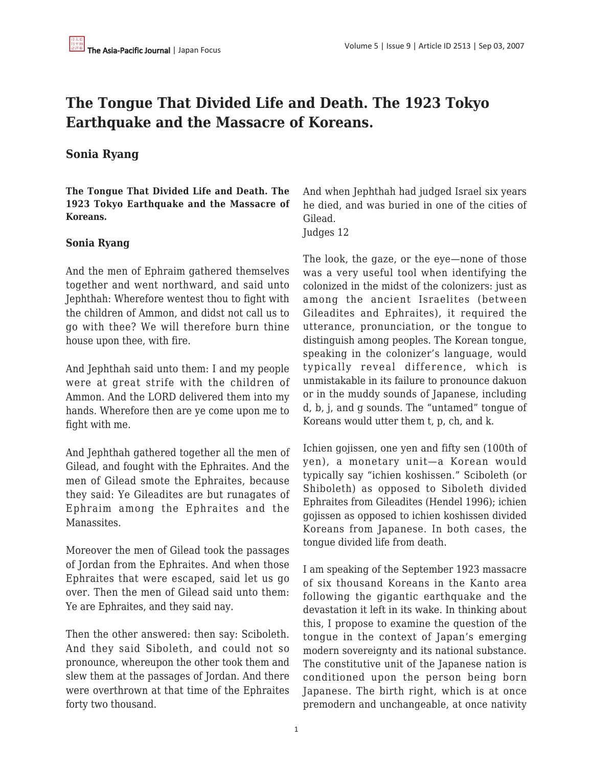# **The Tongue That Divided Life and Death. The 1923 Tokyo Earthquake and the Massacre of Koreans.**

# **Sonia Ryang**

**The Tongue That Divided Life and Death. The 1923 Tokyo Earthquake and the Massacre of Koreans.**

## **Sonia Ryang**

And the men of Ephraim gathered themselves together and went northward, and said unto Jephthah: Wherefore wentest thou to fight with the children of Ammon, and didst not call us to go with thee? We will therefore burn thine house upon thee, with fire.

And Jephthah said unto them: I and my people were at great strife with the children of Ammon. And the LORD delivered them into my hands. Wherefore then are ye come upon me to fight with me.

And Jephthah gathered together all the men of Gilead, and fought with the Ephraites. And the men of Gilead smote the Ephraites, because they said: Ye Gileadites are but runagates of Ephraim among the Ephraites and the Manassites.

Moreover the men of Gilead took the passages of Jordan from the Ephraites. And when those Ephraites that were escaped, said let us go over. Then the men of Gilead said unto them: Ye are Ephraites, and they said nay.

Then the other answered: then say: Sciboleth. And they said Siboleth, and could not so pronounce, whereupon the other took them and slew them at the passages of Jordan. And there were overthrown at that time of the Ephraites forty two thousand.

And when Jephthah had judged Israel six years he died, and was buried in one of the cities of Gilead.

Judges 12

The look, the gaze, or the eye—none of those was a very useful tool when identifying the colonized in the midst of the colonizers: just as among the ancient Israelites (between Gileadites and Ephraites), it required the utterance, pronunciation, or the tongue to distinguish among peoples. The Korean tongue, speaking in the colonizer's language, would typically reveal difference, which is unmistakable in its failure to pronounce dakuon or in the muddy sounds of Japanese, including d, b, j, and g sounds. The "untamed" tongue of Koreans would utter them t, p, ch, and k.

Ichien gojissen, one yen and fifty sen (100th of yen), a monetary unit—a Korean would typically say "ichien koshissen." Sciboleth (or Shiboleth) as opposed to Siboleth divided Ephraites from Gileadites (Hendel 1996); ichien gojissen as opposed to ichien koshissen divided Koreans from Japanese. In both cases, the tongue divided life from death.

I am speaking of the September 1923 massacre of six thousand Koreans in the Kanto area following the gigantic earthquake and the devastation it left in its wake. In thinking about this, I propose to examine the question of the tongue in the context of Japan's emerging modern sovereignty and its national substance. The constitutive unit of the Japanese nation is conditioned upon the person being born Japanese. The birth right, which is at once premodern and unchangeable, at once nativity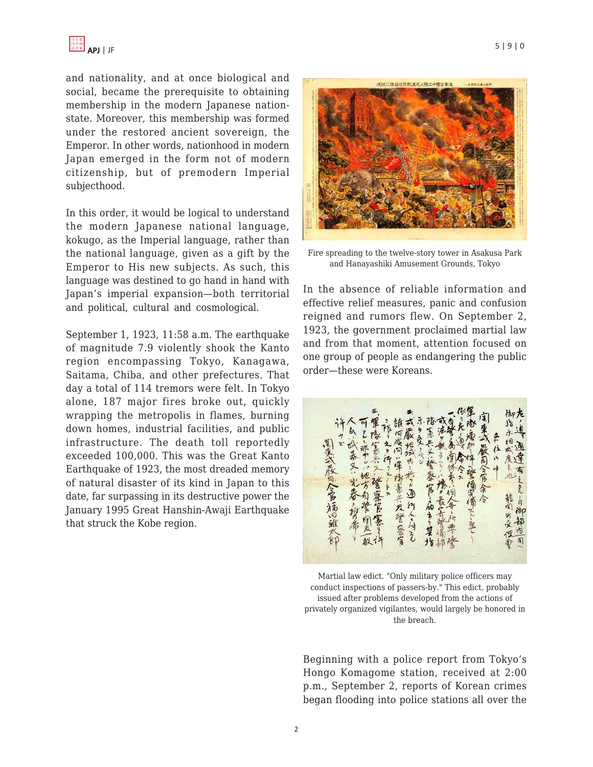and nationality, and at once biological and social, became the prerequisite to obtaining membership in the modern Japanese nationstate. Moreover, this membership was formed under the restored ancient sovereign, the Emperor. In other words, nationhood in modern Japan emerged in the form not of modern citizenship, but of premodern Imperial subjecthood.

In this order, it would be logical to understand the modern Japanese national language, kokugo, as the Imperial language, rather than the national language, given as a gift by the Emperor to His new subjects. As such, this language was destined to go hand in hand with Japan's imperial expansion—both territorial and political, cultural and cosmological.

September 1, 1923, 11:58 a.m. The earthquake of magnitude 7.9 violently shook the Kanto region encompassing Tokyo, Kanagawa, Saitama, Chiba, and other prefectures. That day a total of 114 tremors were felt. In Tokyo alone, 187 major fires broke out, quickly wrapping the metropolis in flames, burning down homes, industrial facilities, and public infrastructure. The death toll reportedly exceeded 100,000. This was the Great Kanto Earthquake of 1923, the most dreaded memory of natural disaster of its kind in Japan to this date, far surpassing in its destructive power the January 1995 Great Hanshin-Awaji Earthquake that struck the Kobe region.



Fire spreading to the twelve-story tower in Asakusa Park and Hanayashiki Amusement Grounds, Tokyo

In the absence of reliable information and effective relief measures, panic and confusion reigned and rumors flew. On September 2, 1923, the government proclaimed martial law and from that moment, attention focused on one group of people as endangering the public order—these were Koreans.



Martial law edict. "Only military police officers may conduct inspections of passers-by." This edict, probably issued after problems developed from the actions of privately organized vigilantes, would largely be honored in the breach.

Beginning with a police report from Tokyo's Hongo Komagome station, received at 2:00 p.m., September 2, reports of Korean crimes began flooding into police stations all over the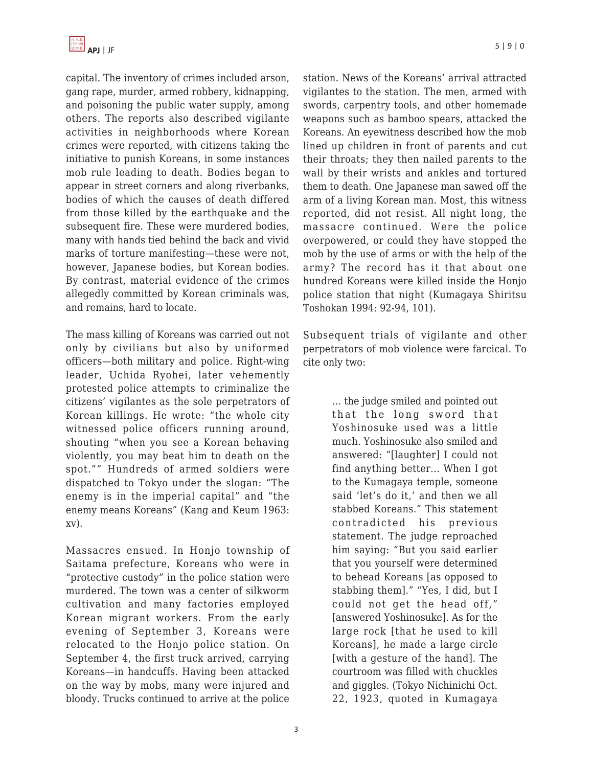capital. The inventory of crimes included arson, gang rape, murder, armed robbery, kidnapping, and poisoning the public water supply, among others. The reports also described vigilante activities in neighborhoods where Korean crimes were reported, with citizens taking the initiative to punish Koreans, in some instances mob rule leading to death. Bodies began to appear in street corners and along riverbanks, bodies of which the causes of death differed from those killed by the earthquake and the subsequent fire. These were murdered bodies, many with hands tied behind the back and vivid marks of torture manifesting—these were not, however, Japanese bodies, but Korean bodies. By contrast, material evidence of the crimes allegedly committed by Korean criminals was, and remains, hard to locate.

The mass killing of Koreans was carried out not only by civilians but also by uniformed officers—both military and police. Right-wing leader, Uchida Ryohei, later vehemently protested police attempts to criminalize the citizens' vigilantes as the sole perpetrators of Korean killings. He wrote: "the whole city witnessed police officers running around, shouting "when you see a Korean behaving violently, you may beat him to death on the spot."" Hundreds of armed soldiers were dispatched to Tokyo under the slogan: "The enemy is in the imperial capital" and "the enemy means Koreans" (Kang and Keum 1963: xv).

Massacres ensued. In Honjo township of Saitama prefecture, Koreans who were in "protective custody" in the police station were murdered. The town was a center of silkworm cultivation and many factories employed Korean migrant workers. From the early evening of September 3, Koreans were relocated to the Honjo police station. On September 4, the first truck arrived, carrying Koreans—in handcuffs. Having been attacked on the way by mobs, many were injured and bloody. Trucks continued to arrive at the police station. News of the Koreans' arrival attracted vigilantes to the station. The men, armed with swords, carpentry tools, and other homemade weapons such as bamboo spears, attacked the Koreans. An eyewitness described how the mob lined up children in front of parents and cut their throats; they then nailed parents to the wall by their wrists and ankles and tortured them to death. One Japanese man sawed off the arm of a living Korean man. Most, this witness reported, did not resist. All night long, the massacre continued. Were the police overpowered, or could they have stopped the

mob by the use of arms or with the help of the army? The record has it that about one hundred Koreans were killed inside the Honjo police station that night (Kumagaya Shiritsu Toshokan 1994: 92-94, 101).

Subsequent trials of vigilante and other perpetrators of mob violence were farcical. To cite only two:

> … the judge smiled and pointed out that the long sword that Yoshinosuke used was a little much. Yoshinosuke also smiled and answered: "[laughter] I could not find anything better… When I got to the Kumagaya temple, someone said 'let's do it,' and then we all stabbed Koreans." This statement contradicted his previous statement. The judge reproached him saying: "But you said earlier that you yourself were determined to behead Koreans [as opposed to stabbing them]." "Yes, I did, but I could not get the head off," [answered Yoshinosuke]. As for the large rock [that he used to kill Koreans], he made a large circle [with a gesture of the hand]. The courtroom was filled with chuckles and giggles. (Tokyo Nichinichi Oct. 22, 1923, quoted in Kumagaya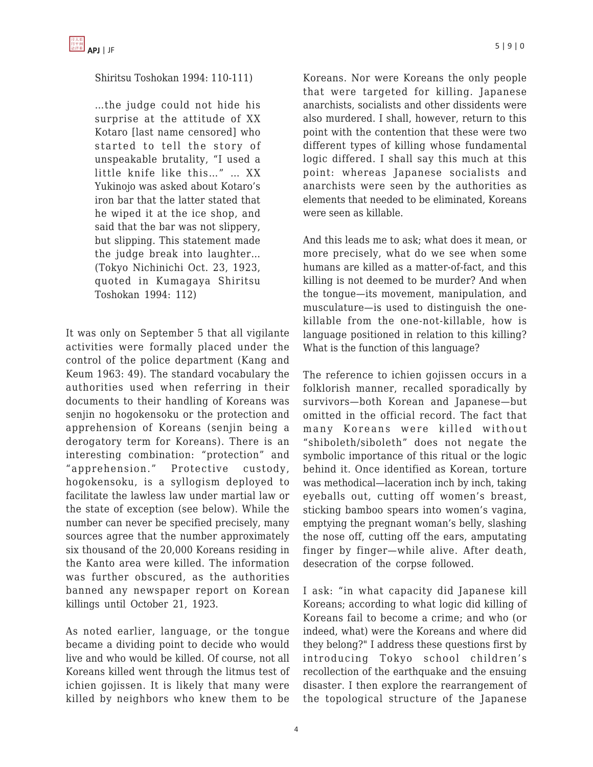Shiritsu Toshokan 1994: 110-111)

…the judge could not hide his surprise at the attitude of XX Kotaro [last name censored] who started to tell the story of unspeakable brutality, "I used a little knife like this…" … XX Yukinojo was asked about Kotaro's iron bar that the latter stated that he wiped it at the ice shop, and said that the bar was not slippery, but slipping. This statement made the judge break into laughter… (Tokyo Nichinichi Oct. 23, 1923, quoted in Kumagaya Shiritsu Toshokan 1994: 112)

It was only on September 5 that all vigilante activities were formally placed under the control of the police department (Kang and Keum 1963: 49). The standard vocabulary the authorities used when referring in their documents to their handling of Koreans was senjin no hogokensoku or the protection and apprehension of Koreans (senjin being a derogatory term for Koreans). There is an interesting combination: "protection" and "apprehension." Protective custody, hogokensoku, is a syllogism deployed to facilitate the lawless law under martial law or the state of exception (see below). While the number can never be specified precisely, many sources agree that the number approximately six thousand of the 20,000 Koreans residing in the Kanto area were killed. The information was further obscured, as the authorities banned any newspaper report on Korean killings until October 21, 1923.

As noted earlier, language, or the tongue became a dividing point to decide who would live and who would be killed. Of course, not all Koreans killed went through the litmus test of ichien gojissen. It is likely that many were killed by neighbors who knew them to be Koreans. Nor were Koreans the only people that were targeted for killing. Japanese anarchists, socialists and other dissidents were also murdered. I shall, however, return to this point with the contention that these were two different types of killing whose fundamental logic differed. I shall say this much at this point: whereas Japanese socialists and anarchists were seen by the authorities as elements that needed to be eliminated, Koreans were seen as killable.

And this leads me to ask; what does it mean, or more precisely, what do we see when some humans are killed as a matter-of-fact, and this killing is not deemed to be murder? And when the tongue—its movement, manipulation, and musculature—is used to distinguish the onekillable from the one-not-killable, how is language positioned in relation to this killing? What is the function of this language?

The reference to ichien gojissen occurs in a folklorish manner, recalled sporadically by survivors—both Korean and Japanese—but omitted in the official record. The fact that many Koreans were killed without "shiboleth/siboleth" does not negate the symbolic importance of this ritual or the logic behind it. Once identified as Korean, torture was methodical—laceration inch by inch, taking eyeballs out, cutting off women's breast, sticking bamboo spears into women's vagina, emptying the pregnant woman's belly, slashing the nose off, cutting off the ears, amputating finger by finger—while alive. After death, desecration of the corpse followed.

I ask: "in what capacity did Japanese kill Koreans; according to what logic did killing of Koreans fail to become a crime; and who (or indeed, what) were the Koreans and where did they belong?" I address these questions first by introducing Tokyo school children's recollection of the earthquake and the ensuing disaster. I then explore the rearrangement of the topological structure of the Japanese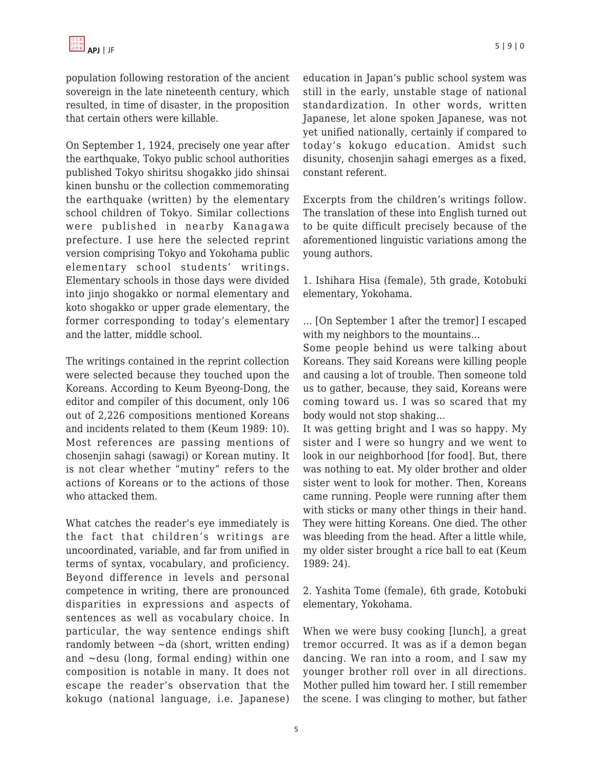population following restoration of the ancient sovereign in the late nineteenth century, which resulted, in time of disaster, in the proposition that certain others were killable.

On September 1, 1924, precisely one year after the earthquake, Tokyo public school authorities published Tokyo shiritsu shogakko jido shinsai kinen bunshu or the collection commemorating the earthquake (written) by the elementary school children of Tokyo. Similar collections were published in nearby Kanagawa prefecture. I use here the selected reprint version comprising Tokyo and Yokohama public elementary school students' writings. Elementary schools in those days were divided into jinjo shogakko or normal elementary and koto shogakko or upper grade elementary, the former corresponding to today's elementary and the latter, middle school.

The writings contained in the reprint collection were selected because they touched upon the Koreans. According to Keum Byeong-Dong, the editor and compiler of this document, only 106 out of 2,226 compositions mentioned Koreans and incidents related to them (Keum 1989: 10). Most references are passing mentions of chosenjin sahagi (sawagi) or Korean mutiny. It is not clear whether "mutiny" refers to the actions of Koreans or to the actions of those who attacked them.

What catches the reader's eye immediately is the fact that children's writings are uncoordinated, variable, and far from unified in terms of syntax, vocabulary, and proficiency. Beyond difference in levels and personal competence in writing, there are pronounced disparities in expressions and aspects of sentences as well as vocabulary choice. In particular, the way sentence endings shift randomly between  $\neg$ da (short, written ending) and  $\sim$  desu (long, formal ending) within one composition is notable in many. It does not escape the reader's observation that the kokugo (national language, i.e. Japanese) education in Japan's public school system was still in the early, unstable stage of national standardization. In other words, written Japanese, let alone spoken Japanese, was not yet unified nationally, certainly if compared to today's kokugo education. Amidst such disunity, chosenjin sahagi emerges as a fixed, constant referent.

Excerpts from the children's writings follow. The translation of these into English turned out to be quite difficult precisely because of the aforementioned linguistic variations among the young authors.

1. Ishihara Hisa (female), 5th grade, Kotobuki elementary, Yokohama.

… [On September 1 after the tremor] I escaped with my neighbors to the mountains…

Some people behind us were talking about Koreans. They said Koreans were killing people and causing a lot of trouble. Then someone told us to gather, because, they said, Koreans were coming toward us. I was so scared that my body would not stop shaking…

It was getting bright and I was so happy. My sister and I were so hungry and we went to look in our neighborhood [for food]. But, there was nothing to eat. My older brother and older sister went to look for mother. Then, Koreans came running. People were running after them with sticks or many other things in their hand. They were hitting Koreans. One died. The other was bleeding from the head. After a little while, my older sister brought a rice ball to eat (Keum 1989: 24).

2. Yashita Tome (female), 6th grade, Kotobuki elementary, Yokohama.

When we were busy cooking [lunch], a great tremor occurred. It was as if a demon began dancing. We ran into a room, and I saw my younger brother roll over in all directions. Mother pulled him toward her. I still remember the scene. I was clinging to mother, but father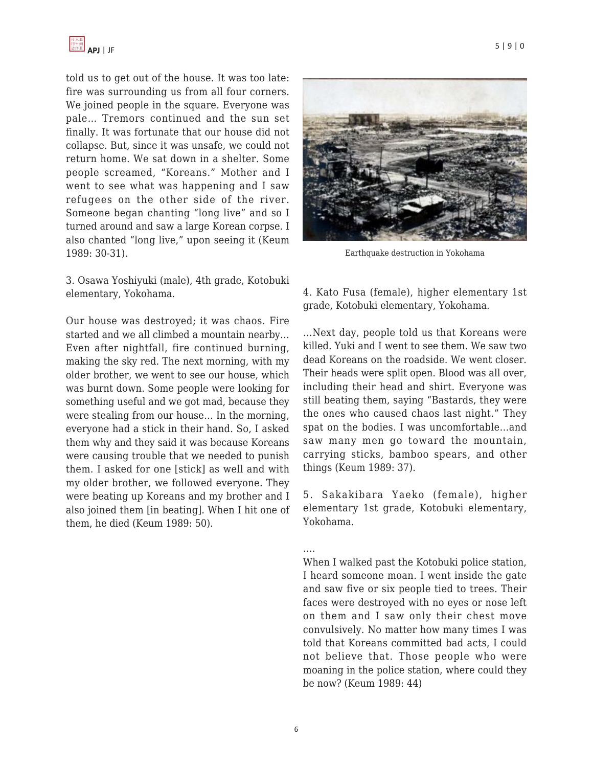told us to get out of the house. It was too late: fire was surrounding us from all four corners. We joined people in the square. Everyone was pale… Tremors continued and the sun set finally. It was fortunate that our house did not collapse. But, since it was unsafe, we could not return home. We sat down in a shelter. Some people screamed, "Koreans." Mother and I went to see what was happening and I saw refugees on the other side of the river. Someone began chanting "long live" and so I turned around and saw a large Korean corpse. I also chanted "long live," upon seeing it (Keum 1989: 30-31).

3. Osawa Yoshiyuki (male), 4th grade, Kotobuki elementary, Yokohama.

Our house was destroyed; it was chaos. Fire started and we all climbed a mountain nearby… Even after nightfall, fire continued burning, making the sky red. The next morning, with my older brother, we went to see our house, which was burnt down. Some people were looking for something useful and we got mad, because they were stealing from our house… In the morning, everyone had a stick in their hand. So, I asked them why and they said it was because Koreans were causing trouble that we needed to punish them. I asked for one [stick] as well and with my older brother, we followed everyone. They were beating up Koreans and my brother and I also joined them [in beating]. When I hit one of them, he died (Keum 1989: 50).





Earthquake destruction in Yokohama

4. Kato Fusa (female), higher elementary 1st grade, Kotobuki elementary, Yokohama.

…Next day, people told us that Koreans were killed. Yuki and I went to see them. We saw two dead Koreans on the roadside. We went closer. Their heads were split open. Blood was all over, including their head and shirt. Everyone was still beating them, saying "Bastards, they were the ones who caused chaos last night." They spat on the bodies. I was uncomfortable…and saw many men go toward the mountain, carrying sticks, bamboo spears, and other things (Keum 1989: 37).

5. Sakakibara Yaeko (female), higher elementary 1st grade, Kotobuki elementary, Yokohama.

….

When I walked past the Kotobuki police station, I heard someone moan. I went inside the gate and saw five or six people tied to trees. Their faces were destroyed with no eyes or nose left on them and I saw only their chest move convulsively. No matter how many times I was told that Koreans committed bad acts, I could not believe that. Those people who were moaning in the police station, where could they be now? (Keum 1989: 44)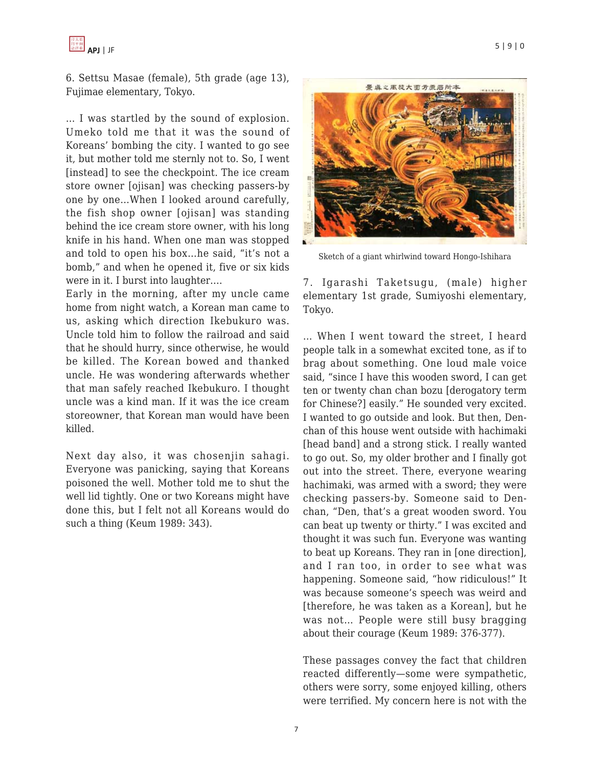

6. Settsu Masae (female), 5th grade (age 13), Fujimae elementary, Tokyo.

… I was startled by the sound of explosion. Umeko told me that it was the sound of Koreans' bombing the city. I wanted to go see it, but mother told me sternly not to. So, I went [instead] to see the checkpoint. The ice cream store owner [ojisan] was checking passers-by one by one…When I looked around carefully, the fish shop owner [ojisan] was standing behind the ice cream store owner, with his long knife in his hand. When one man was stopped and told to open his box…he said, "it's not a bomb," and when he opened it, five or six kids were in it. I burst into laughter….

Early in the morning, after my uncle came home from night watch, a Korean man came to us, asking which direction Ikebukuro was. Uncle told him to follow the railroad and said that he should hurry, since otherwise, he would be killed. The Korean bowed and thanked uncle. He was wondering afterwards whether that man safely reached Ikebukuro. I thought uncle was a kind man. If it was the ice cream storeowner, that Korean man would have been killed.

Next day also, it was chosenjin sahagi. Everyone was panicking, saying that Koreans poisoned the well. Mother told me to shut the well lid tightly. One or two Koreans might have done this, but I felt not all Koreans would do such a thing (Keum 1989: 343).



Sketch of a giant whirlwind toward Hongo-Ishihara

7. Igarashi Taketsugu, (male) higher elementary 1st grade, Sumiyoshi elementary, Tokyo.

… When I went toward the street, I heard people talk in a somewhat excited tone, as if to brag about something. One loud male voice said, "since I have this wooden sword, I can get ten or twenty chan chan bozu [derogatory term for Chinese?] easily." He sounded very excited. I wanted to go outside and look. But then, Denchan of this house went outside with hachimaki [head band] and a strong stick. I really wanted to go out. So, my older brother and I finally got out into the street. There, everyone wearing hachimaki, was armed with a sword; they were checking passers-by. Someone said to Denchan, "Den, that's a great wooden sword. You can beat up twenty or thirty." I was excited and thought it was such fun. Everyone was wanting to beat up Koreans. They ran in [one direction], and I ran too, in order to see what was happening. Someone said, "how ridiculous!" It was because someone's speech was weird and [therefore, he was taken as a Korean], but he was not… People were still busy bragging about their courage (Keum 1989: 376-377).

These passages convey the fact that children reacted differently—some were sympathetic, others were sorry, some enjoyed killing, others were terrified. My concern here is not with the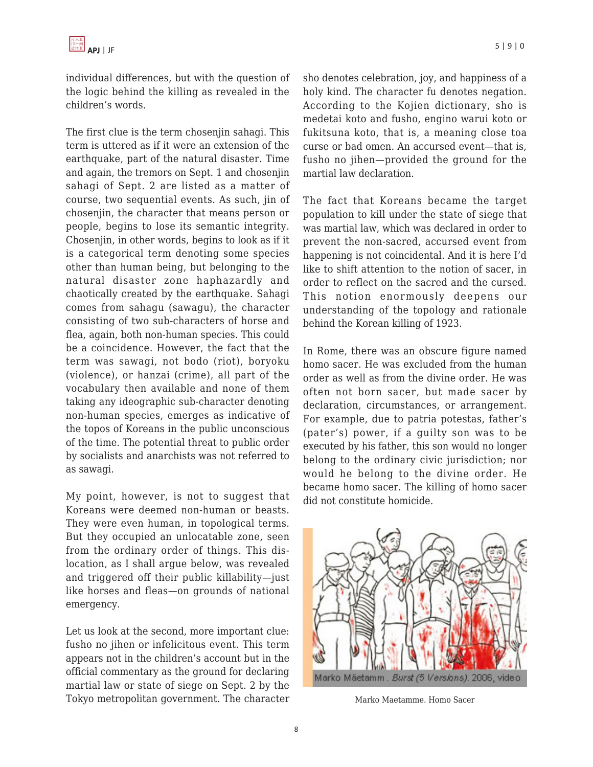individual differences, but with the question of the logic behind the killing as revealed in the children's words.

The first clue is the term chosenjin sahagi. This term is uttered as if it were an extension of the earthquake, part of the natural disaster. Time and again, the tremors on Sept. 1 and chosenjin sahagi of Sept. 2 are listed as a matter of course, two sequential events. As such, jin of chosenjin, the character that means person or people, begins to lose its semantic integrity. Chosenjin, in other words, begins to look as if it is a categorical term denoting some species other than human being, but belonging to the natural disaster zone haphazardly and chaotically created by the earthquake. Sahagi comes from sahagu (sawagu), the character consisting of two sub-characters of horse and flea, again, both non-human species. This could be a coincidence. However, the fact that the term was sawagi, not bodo (riot), boryoku (violence), or hanzai (crime), all part of the vocabulary then available and none of them taking any ideographic sub-character denoting non-human species, emerges as indicative of the topos of Koreans in the public unconscious of the time. The potential threat to public order by socialists and anarchists was not referred to as sawagi.

My point, however, is not to suggest that Koreans were deemed non-human or beasts. They were even human, in topological terms. But they occupied an unlocatable zone, seen from the ordinary order of things. This dislocation, as I shall argue below, was revealed and triggered off their public killability—just like horses and fleas—on grounds of national emergency.

Let us look at the second, more important clue: fusho no jihen or infelicitous event. This term appears not in the children's account but in the official commentary as the ground for declaring martial law or state of siege on Sept. 2 by the Tokyo metropolitan government. The character sho denotes celebration, joy, and happiness of a holy kind. The character fu denotes negation. According to the Kojien dictionary, sho is medetai koto and fusho, engino warui koto or fukitsuna koto, that is, a meaning close toa curse or bad omen. An accursed event—that is, fusho no jihen—provided the ground for the martial law declaration.

The fact that Koreans became the target population to kill under the state of siege that was martial law, which was declared in order to prevent the non-sacred, accursed event from happening is not coincidental. And it is here I'd like to shift attention to the notion of sacer, in order to reflect on the sacred and the cursed. This notion enormously deepens our understanding of the topology and rationale behind the Korean killing of 1923.

In Rome, there was an obscure figure named homo sacer. He was excluded from the human order as well as from the divine order. He was often not born sacer, but made sacer by declaration, circumstances, or arrangement. For example, due to patria potestas, father's (pater's) power, if a guilty son was to be executed by his father, this son would no longer belong to the ordinary civic jurisdiction; nor would he belong to the divine order. He became homo sacer. The killing of homo sacer did not constitute homicide.



Marko Maetamme. Homo Sacer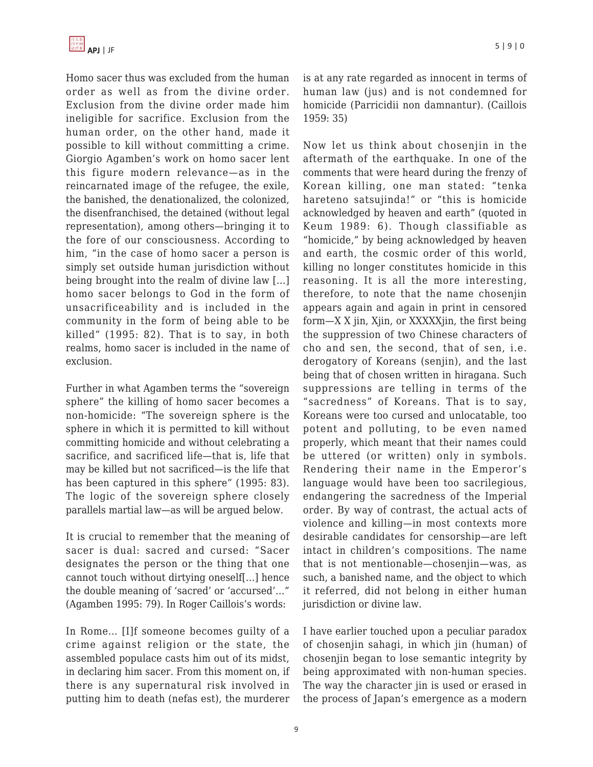Homo sacer thus was excluded from the human order as well as from the divine order. Exclusion from the divine order made him ineligible for sacrifice. Exclusion from the human order, on the other hand, made it possible to kill without committing a crime. Giorgio Agamben's work on homo sacer lent this figure modern relevance—as in the reincarnated image of the refugee, the exile, the banished, the denationalized, the colonized, the disenfranchised, the detained (without legal representation), among others—bringing it to the fore of our consciousness. According to him, "in the case of homo sacer a person is simply set outside human jurisdiction without being brought into the realm of divine law […] homo sacer belongs to God in the form of unsacrificeability and is included in the community in the form of being able to be killed" (1995: 82). That is to say, in both realms, homo sacer is included in the name of exclusion.

Further in what Agamben terms the "sovereign sphere" the killing of homo sacer becomes a non-homicide: "The sovereign sphere is the sphere in which it is permitted to kill without committing homicide and without celebrating a sacrifice, and sacrificed life—that is, life that may be killed but not sacrificed—is the life that has been captured in this sphere" (1995: 83). The logic of the sovereign sphere closely parallels martial law—as will be argued below.

It is crucial to remember that the meaning of sacer is dual: sacred and cursed: "Sacer designates the person or the thing that one cannot touch without dirtying oneself[…] hence the double meaning of 'sacred' or 'accursed'…" (Agamben 1995: 79). In Roger Caillois's words:

In Rome… [I]f someone becomes guilty of a crime against religion or the state, the assembled populace casts him out of its midst, in declaring him sacer. From this moment on, if there is any supernatural risk involved in putting him to death (nefas est), the murderer is at any rate regarded as innocent in terms of human law (jus) and is not condemned for homicide (Parricidii non damnantur). (Caillois 1959: 35)

Now let us think about chosenjin in the aftermath of the earthquake. In one of the comments that were heard during the frenzy of Korean killing, one man stated: "tenka hareteno satsujinda!" or "this is homicide acknowledged by heaven and earth" (quoted in Keum 1989: 6). Though classifiable as "homicide," by being acknowledged by heaven and earth, the cosmic order of this world, killing no longer constitutes homicide in this reasoning. It is all the more interesting, therefore, to note that the name chosenjin appears again and again in print in censored form—X X jin, Xjin, or XXXXXjin, the first being the suppression of two Chinese characters of cho and sen, the second, that of sen, i.e. derogatory of Koreans (senjin), and the last being that of chosen written in hiragana. Such suppressions are telling in terms of the "sacredness" of Koreans. That is to say, Koreans were too cursed and unlocatable, too potent and polluting, to be even named properly, which meant that their names could be uttered (or written) only in symbols. Rendering their name in the Emperor's language would have been too sacrilegious, endangering the sacredness of the Imperial order. By way of contrast, the actual acts of violence and killing—in most contexts more desirable candidates for censorship—are left intact in children's compositions. The name that is not mentionable—chosenjin—was, as such, a banished name, and the object to which it referred, did not belong in either human jurisdiction or divine law.

I have earlier touched upon a peculiar paradox of chosenjin sahagi, in which jin (human) of chosenjin began to lose semantic integrity by being approximated with non-human species. The way the character jin is used or erased in the process of Japan's emergence as a modern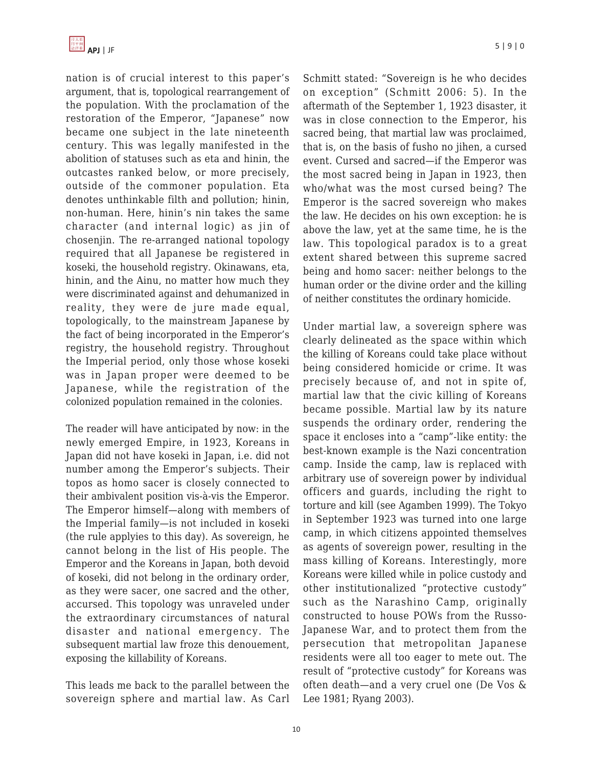nation is of crucial interest to this paper's argument, that is, topological rearrangement of the population. With the proclamation of the restoration of the Emperor, "Japanese" now became one subject in the late nineteenth century. This was legally manifested in the abolition of statuses such as eta and hinin, the outcastes ranked below, or more precisely, outside of the commoner population. Eta denotes unthinkable filth and pollution; hinin, non-human. Here, hinin's nin takes the same character (and internal logic) as jin of chosenjin. The re-arranged national topology required that all Japanese be registered in koseki, the household registry. Okinawans, eta, hinin, and the Ainu, no matter how much they were discriminated against and dehumanized in reality, they were de jure made equal, topologically, to the mainstream Japanese by the fact of being incorporated in the Emperor's registry, the household registry. Throughout the Imperial period, only those whose koseki was in Japan proper were deemed to be Japanese, while the registration of the colonized population remained in the colonies.

The reader will have anticipated by now: in the newly emerged Empire, in 1923, Koreans in Japan did not have koseki in Japan, i.e. did not number among the Emperor's subjects. Their topos as homo sacer is closely connected to their ambivalent position vis-à-vis the Emperor. The Emperor himself—along with members of the Imperial family—is not included in koseki (the rule applyies to this day). As sovereign, he cannot belong in the list of His people. The Emperor and the Koreans in Japan, both devoid of koseki, did not belong in the ordinary order, as they were sacer, one sacred and the other, accursed. This topology was unraveled under the extraordinary circumstances of natural disaster and national emergency. The subsequent martial law froze this denouement, exposing the killability of Koreans.

This leads me back to the parallel between the sovereign sphere and martial law. As Carl Emperor is the sacred sovereign who makes the law. He decides on his own exception: he is above the law, yet at the same time, he is the law. This topological paradox is to a great extent shared between this supreme sacred being and homo sacer: neither belongs to the human order or the divine order and the killing of neither constitutes the ordinary homicide.

Under martial law, a sovereign sphere was clearly delineated as the space within which the killing of Koreans could take place without being considered homicide or crime. It was precisely because of, and not in spite of, martial law that the civic killing of Koreans became possible. Martial law by its nature suspends the ordinary order, rendering the space it encloses into a "camp"-like entity: the best-known example is the Nazi concentration camp. Inside the camp, law is replaced with arbitrary use of sovereign power by individual officers and guards, including the right to torture and kill (see Agamben 1999). The Tokyo in September 1923 was turned into one large camp, in which citizens appointed themselves as agents of sovereign power, resulting in the mass killing of Koreans. Interestingly, more Koreans were killed while in police custody and other institutionalized "protective custody" such as the Narashino Camp, originally constructed to house POWs from the Russo-Japanese War, and to protect them from the persecution that metropolitan Japanese residents were all too eager to mete out. The result of "protective custody" for Koreans was often death—and a very cruel one (De Vos & Lee 1981; Ryang 2003).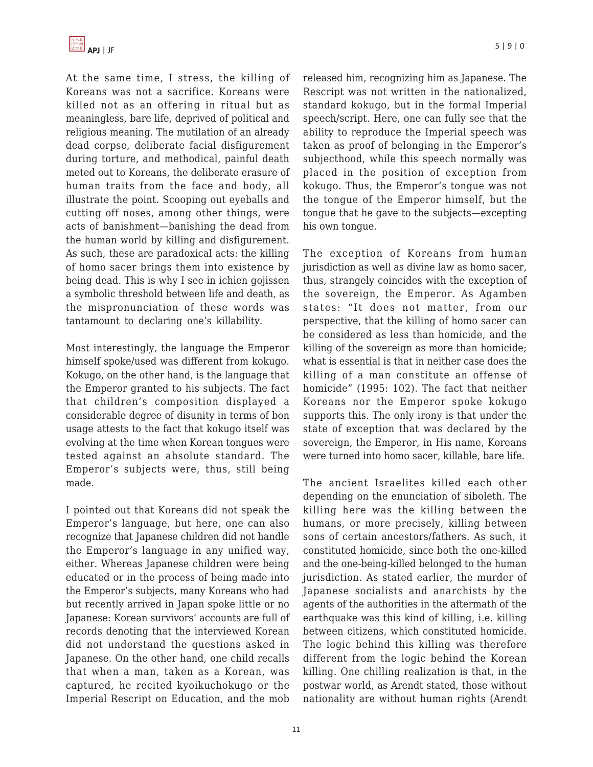

At the same time, I stress, the killing of Koreans was not a sacrifice. Koreans were killed not as an offering in ritual but as meaningless, bare life, deprived of political and religious meaning. The mutilation of an already dead corpse, deliberate facial disfigurement during torture, and methodical, painful death meted out to Koreans, the deliberate erasure of human traits from the face and body, all illustrate the point. Scooping out eyeballs and cutting off noses, among other things, were acts of banishment—banishing the dead from the human world by killing and disfigurement. As such, these are paradoxical acts: the killing of homo sacer brings them into existence by being dead. This is why I see in ichien gojissen a symbolic threshold between life and death, as the mispronunciation of these words was tantamount to declaring one's killability.

Most interestingly, the language the Emperor himself spoke/used was different from kokugo. Kokugo, on the other hand, is the language that the Emperor granted to his subjects. The fact that children's composition displayed a considerable degree of disunity in terms of bon usage attests to the fact that kokugo itself was evolving at the time when Korean tongues were tested against an absolute standard. The Emperor's subjects were, thus, still being made.

I pointed out that Koreans did not speak the Emperor's language, but here, one can also recognize that Japanese children did not handle the Emperor's language in any unified way, either. Whereas Japanese children were being educated or in the process of being made into the Emperor's subjects, many Koreans who had but recently arrived in Japan spoke little or no Japanese: Korean survivors' accounts are full of records denoting that the interviewed Korean did not understand the questions asked in Japanese. On the other hand, one child recalls that when a man, taken as a Korean, was captured, he recited kyoikuchokugo or the Imperial Rescript on Education, and the mob released him, recognizing him as Japanese. The Rescript was not written in the nationalized, standard kokugo, but in the formal Imperial speech/script. Here, one can fully see that the ability to reproduce the Imperial speech was taken as proof of belonging in the Emperor's subjecthood, while this speech normally was placed in the position of exception from kokugo. Thus, the Emperor's tongue was not the tongue of the Emperor himself, but the tongue that he gave to the subjects—excepting his own tongue.

The exception of Koreans from human jurisdiction as well as divine law as homo sacer, thus, strangely coincides with the exception of the sovereign, the Emperor. As Agamben states: "It does not matter, from our perspective, that the killing of homo sacer can be considered as less than homicide, and the killing of the sovereign as more than homicide; what is essential is that in neither case does the killing of a man constitute an offense of homicide" (1995: 102). The fact that neither Koreans nor the Emperor spoke kokugo supports this. The only irony is that under the state of exception that was declared by the sovereign, the Emperor, in His name, Koreans were turned into homo sacer, killable, bare life.

The ancient Israelites killed each other depending on the enunciation of siboleth. The killing here was the killing between the humans, or more precisely, killing between sons of certain ancestors/fathers. As such, it constituted homicide, since both the one-killed and the one-being-killed belonged to the human jurisdiction. As stated earlier, the murder of Japanese socialists and anarchists by the agents of the authorities in the aftermath of the earthquake was this kind of killing, i.e. killing between citizens, which constituted homicide. The logic behind this killing was therefore different from the logic behind the Korean killing. One chilling realization is that, in the postwar world, as Arendt stated, those without nationality are without human rights (Arendt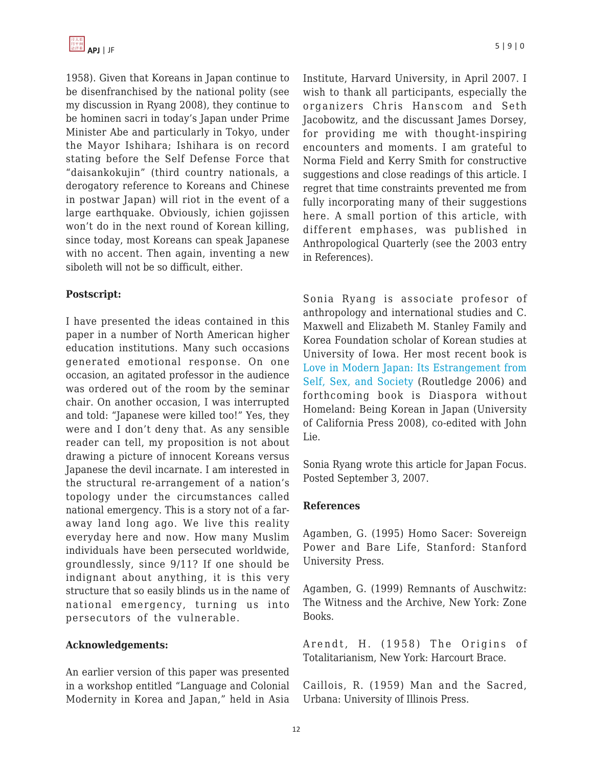1958). Given that Koreans in Japan continue to be disenfranchised by the national polity (see my discussion in Ryang 2008), they continue to be hominen sacri in today's Japan under Prime Minister Abe and particularly in Tokyo, under the Mayor Ishihara; Ishihara is on record stating before the Self Defense Force that "daisankokujin" (third country nationals, a derogatory reference to Koreans and Chinese in postwar Japan) will riot in the event of a large earthquake. Obviously, ichien gojissen won't do in the next round of Korean killing, since today, most Koreans can speak Japanese with no accent. Then again, inventing a new siboleth will not be so difficult, either.

## **Postscript:**

I have presented the ideas contained in this paper in a number of North American higher education institutions. Many such occasions generated emotional response. On one occasion, an agitated professor in the audience was ordered out of the room by the seminar chair. On another occasion, I was interrupted and told: "Japanese were killed too!" Yes, they were and I don't deny that. As any sensible reader can tell, my proposition is not about drawing a picture of innocent Koreans versus Japanese the devil incarnate. I am interested in the structural re-arrangement of a nation's topology under the circumstances called national emergency. This is a story not of a faraway land long ago. We live this reality everyday here and now. How many Muslim individuals have been persecuted worldwide, groundlessly, since 9/11? If one should be indignant about anything, it is this very structure that so easily blinds us in the name of national emergency, turning us into persecutors of the vulnerable.

#### **Acknowledgements:**

An earlier version of this paper was presented in a workshop entitled "Language and Colonial Modernity in Korea and Japan," held in Asia Institute, Harvard University, in April 2007. I wish to thank all participants, especially the organizers Chris Hanscom and Seth Jacobowitz, and the discussant James Dorsey, for providing me with thought-inspiring encounters and moments. I am grateful to Norma Field and Kerry Smith for constructive suggestions and close readings of this article. I regret that time constraints prevented me from fully incorporating many of their suggestions here. A small portion of this article, with different emphases, was published in Anthropological Quarterly (see the 2003 entry in References).

Sonia Ryang is associate profesor of anthropology and international studies and C. Maxwell and Elizabeth M. Stanley Family and Korea Foundation scholar of Korean studies at University of Iowa. Her most recent book is [Love in Modern Japan: Its Estrangement from](http://www.amazon.com/Love-Modern-Japan-Estrangement-Anthropology/dp/041577005X/ref=sr_1_1/105-0051066-8128431?ie=UTF8&s=books&qid=1189103886&sr=8-1) [Self, Sex, and Society](http://www.amazon.com/Love-Modern-Japan-Estrangement-Anthropology/dp/041577005X/ref=sr_1_1/105-0051066-8128431?ie=UTF8&s=books&qid=1189103886&sr=8-1) (Routledge 2006) and forthcoming book is Diaspora without Homeland: Being Korean in Japan (University of California Press 2008), co-edited with John Lie.

Sonia Ryang wrote this article for Japan Focus. Posted September 3, 2007.

#### **References**

Agamben, G. (1995) Homo Sacer: Sovereign Power and Bare Life, Stanford: Stanford University Press.

Agamben, G. (1999) Remnants of Auschwitz: The Witness and the Archive, New York: Zone Books.

Arendt, H. (1958) The Origins of Totalitarianism, New York: Harcourt Brace.

Caillois, R. (1959) Man and the Sacred, Urbana: University of Illinois Press.